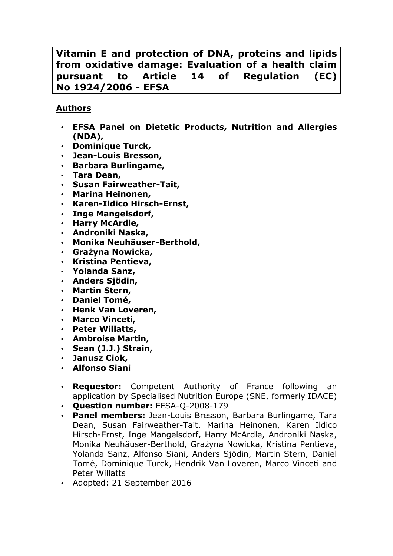# **Vitamin E and protection of DNA, proteins and lipids from oxidative damage: Evaluation of a health claim pursuant to Article 14 of Regulation (EC) No 1924/2006 - EFSA**

#### **Authors**

- **EFSA Panel on Dietetic Products, Nutrition and Allergies (NDA),**
- **Dominique Turck,**
- **Jean-Louis Bresson,**
- **Barbara Burlingame,**
- **Tara Dean,**
- **Susan Fairweather-Tait,**
- **Marina Heinonen,**
- **Karen-Ildico Hirsch-Ernst,**
- **Inge Mangelsdorf,**
- **Harry McArdle,**
- **Androniki Naska,**
- **Monika Neuhäuser-Berthold,**
- **Grażyna Nowicka,**
- **Kristina Pentieva,**
- **Yolanda Sanz,**
- **Anders Sjödin,**
- **Martin Stern,**
- **Daniel Tomé,**
- **Henk Van Loveren,**
- **Marco Vinceti,**
- **Peter Willatts,**
- **Ambroise Martin,**
- **Sean (J.J.) Strain,**
- **Janusz Ciok,**
- **Alfonso Siani**
- **Requestor:** Competent Authority of France following an application by Specialised Nutrition Europe (SNE, formerly IDACE)
- **Question number:** EFSA-Q-2008-179
- **Panel members:** Jean-Louis Bresson, Barbara Burlingame, Tara Dean, Susan Fairweather-Tait, Marina Heinonen, Karen Ildico Hirsch-Ernst, Inge Mangelsdorf, Harry McArdle, Androniki Naska, Monika Neuhäuser-Berthold, Grażyna Nowicka, Kristina Pentieva, Yolanda Sanz, Alfonso Siani, Anders Sjödin, Martin Stern, Daniel Tomé, Dominique Turck, Hendrik Van Loveren, Marco Vinceti and Peter Willatts
- Adopted: 21 September 2016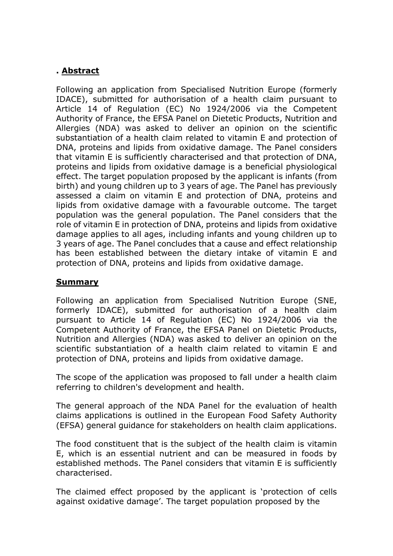# **. Abstract**

Following an application from Specialised Nutrition Europe (formerly IDACE), submitted for authorisation of a health claim pursuant to Article 14 of Regulation (EC) No 1924/2006 via the Competent Authority of France, the EFSA Panel on Dietetic Products, Nutrition and Allergies (NDA) was asked to deliver an opinion on the scientific substantiation of a health claim related to vitamin E and protection of DNA, proteins and lipids from oxidative damage. The Panel considers that vitamin E is sufficiently characterised and that protection of DNA, proteins and lipids from oxidative damage is a beneficial physiological effect. The target population proposed by the applicant is infants (from birth) and young children up to 3 years of age. The Panel has previously assessed a claim on vitamin E and protection of DNA, proteins and lipids from oxidative damage with a favourable outcome. The target population was the general population. The Panel considers that the role of vitamin E in protection of DNA, proteins and lipids from oxidative damage applies to all ages, including infants and young children up to 3 years of age. The Panel concludes that a cause and effect relationship has been established between the dietary intake of vitamin E and protection of DNA, proteins and lipids from oxidative damage.

### **Summary**

Following an application from Specialised Nutrition Europe (SNE, formerly IDACE), submitted for authorisation of a health claim pursuant to Article 14 of Regulation (EC) No 1924/2006 via the Competent Authority of France, the EFSA Panel on Dietetic Products, Nutrition and Allergies (NDA) was asked to deliver an opinion on the scientific substantiation of a health claim related to vitamin E and protection of DNA, proteins and lipids from oxidative damage.

The scope of the application was proposed to fall under a health claim referring to children's development and health.

The general approach of the NDA Panel for the evaluation of health claims applications is outlined in the European Food Safety Authority (EFSA) general guidance for stakeholders on health claim applications.

The food constituent that is the subject of the health claim is vitamin E, which is an essential nutrient and can be measured in foods by established methods. The Panel considers that vitamin E is sufficiently characterised.

The claimed effect proposed by the applicant is 'protection of cells against oxidative damage'. The target population proposed by the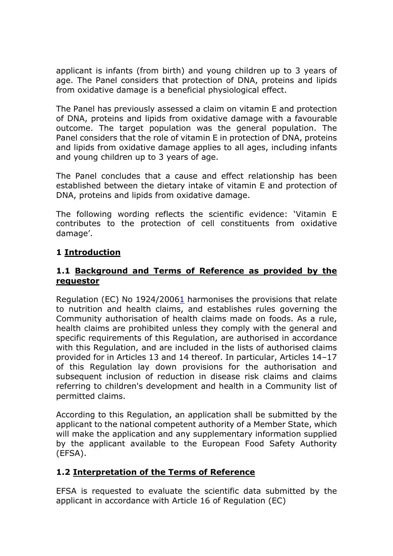applicant is infants (from birth) and young children up to 3 years of age. The Panel considers that protection of DNA, proteins and lipids from oxidative damage is a beneficial physiological effect.

The Panel has previously assessed a claim on vitamin E and protection of DNA, proteins and lipids from oxidative damage with a favourable outcome. The target population was the general population. The Panel considers that the role of vitamin E in protection of DNA, proteins and lipids from oxidative damage applies to all ages, including infants and young children up to 3 years of age.

The Panel concludes that a cause and effect relationship has been established between the dietary intake of vitamin E and protection of DNA, proteins and lipids from oxidative damage.

The following wording reflects the scientific evidence: 'Vitamin E contributes to the protection of cell constituents from oxidative damage'.

### **1 Introduction**

### **1.1 Background and Terms of Reference as provided by the requestor**

Regulation (EC) No 1924/20061 harmonises the provisions that relate to nutrition and health claims, and establishes rules governing the Community authorisation of health claims made on foods. As a rule, health claims are prohibited unless they comply with the general and specific requirements of this Regulation, are authorised in accordance with this Regulation, and are included in the lists of authorised claims provided for in Articles 13 and 14 thereof. In particular, Articles 14–17 of this Regulation lay down provisions for the authorisation and subsequent inclusion of reduction in disease risk claims and claims referring to children's development and health in a Community list of permitted claims.

According to this Regulation, an application shall be submitted by the applicant to the national competent authority of a Member State, which will make the application and any supplementary information supplied by the applicant available to the European Food Safety Authority (EFSA).

### **1.2 Interpretation of the Terms of Reference**

EFSA is requested to evaluate the scientific data submitted by the applicant in accordance with Article 16 of Regulation (EC)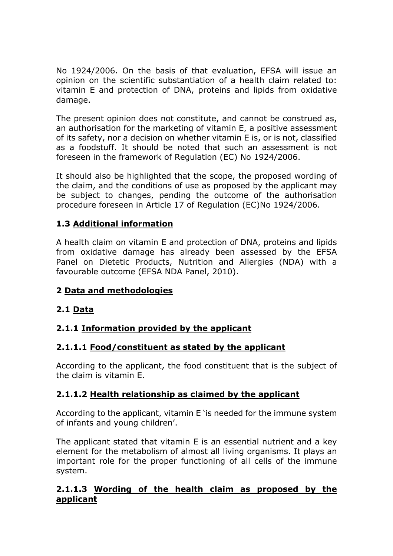No 1924/2006. On the basis of that evaluation, EFSA will issue an opinion on the scientific substantiation of a health claim related to: vitamin E and protection of DNA, proteins and lipids from oxidative damage.

The present opinion does not constitute, and cannot be construed as, an authorisation for the marketing of vitamin E, a positive assessment of its safety, nor a decision on whether vitamin E is, or is not, classified as a foodstuff. It should be noted that such an assessment is not foreseen in the framework of Regulation (EC) No 1924/2006.

It should also be highlighted that the scope, the proposed wording of the claim, and the conditions of use as proposed by the applicant may be subject to changes, pending the outcome of the authorisation procedure foreseen in Article 17 of Regulation (EC)No 1924/2006.

### **1.3 Additional information**

A health claim on vitamin E and protection of DNA, proteins and lipids from oxidative damage has already been assessed by the EFSA Panel on Dietetic Products, Nutrition and Allergies (NDA) with a favourable outcome (EFSA NDA Panel, 2010).

### **2 Data and methodologies**

### **2.1 Data**

### **2.1.1 Information provided by the applicant**

### **2.1.1.1 Food/constituent as stated by the applicant**

According to the applicant, the food constituent that is the subject of the claim is vitamin E.

# **2.1.1.2 Health relationship as claimed by the applicant**

According to the applicant, vitamin E 'is needed for the immune system of infants and young children'.

The applicant stated that vitamin E is an essential nutrient and a key element for the metabolism of almost all living organisms. It plays an important role for the proper functioning of all cells of the immune system.

### **2.1.1.3 Wording of the health claim as proposed by the applicant**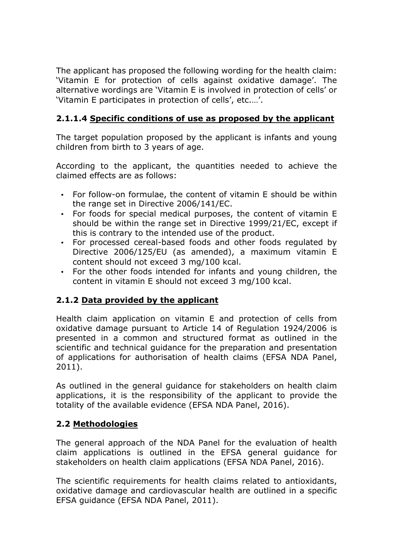The applicant has proposed the following wording for the health claim: 'Vitamin E for protection of cells against oxidative damage'. The alternative wordings are 'Vitamin E is involved in protection of cells' or 'Vitamin E participates in protection of cells', etc.…'.

## **2.1.1.4 Specific conditions of use as proposed by the applicant**

The target population proposed by the applicant is infants and young children from birth to 3 years of age.

According to the applicant, the quantities needed to achieve the claimed effects are as follows:

- For follow-on formulae, the content of vitamin E should be within the range set in Directive 2006/141/EC.
- For foods for special medical purposes, the content of vitamin E should be within the range set in Directive 1999/21/EC, except if this is contrary to the intended use of the product.
- For processed cereal-based foods and other foods regulated by Directive 2006/125/EU (as amended), a maximum vitamin E content should not exceed 3 mg/100 kcal.
- For the other foods intended for infants and young children, the content in vitamin E should not exceed 3 mg/100 kcal.

# **2.1.2 Data provided by the applicant**

Health claim application on vitamin E and protection of cells from oxidative damage pursuant to Article 14 of Regulation 1924/2006 is presented in a common and structured format as outlined in the scientific and technical guidance for the preparation and presentation of applications for authorisation of health claims (EFSA NDA Panel, 2011).

As outlined in the general guidance for stakeholders on health claim applications, it is the responsibility of the applicant to provide the totality of the available evidence (EFSA NDA Panel, 2016).

### **2.2 Methodologies**

The general approach of the NDA Panel for the evaluation of health claim applications is outlined in the EFSA general guidance for stakeholders on health claim applications (EFSA NDA Panel, 2016).

The scientific requirements for health claims related to antioxidants, oxidative damage and cardiovascular health are outlined in a specific EFSA guidance (EFSA NDA Panel, 2011).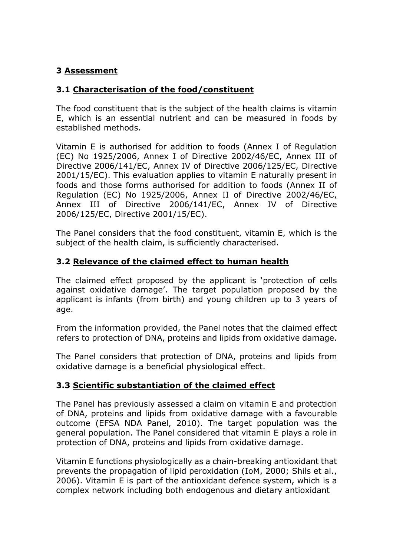# **3 Assessment**

# **3.1 Characterisation of the food/constituent**

The food constituent that is the subject of the health claims is vitamin E, which is an essential nutrient and can be measured in foods by established methods.

Vitamin E is authorised for addition to foods (Annex I of Regulation (EC) No 1925/2006, Annex I of Directive 2002/46/EC, Annex III of Directive 2006/141/EC, Annex IV of Directive 2006/125/EC, Directive 2001/15/EC). This evaluation applies to vitamin E naturally present in foods and those forms authorised for addition to foods (Annex II of Regulation (EC) No 1925/2006, Annex II of Directive 2002/46/EC, Annex III of Directive 2006/141/EC, Annex IV of Directive 2006/125/EC, Directive 2001/15/EC).

The Panel considers that the food constituent, vitamin E, which is the subject of the health claim, is sufficiently characterised.

### **3.2 Relevance of the claimed effect to human health**

The claimed effect proposed by the applicant is 'protection of cells against oxidative damage'. The target population proposed by the applicant is infants (from birth) and young children up to 3 years of age.

From the information provided, the Panel notes that the claimed effect refers to protection of DNA, proteins and lipids from oxidative damage.

The Panel considers that protection of DNA, proteins and lipids from oxidative damage is a beneficial physiological effect.

### **3.3 Scientific substantiation of the claimed effect**

The Panel has previously assessed a claim on vitamin E and protection of DNA, proteins and lipids from oxidative damage with a favourable outcome (EFSA NDA Panel, 2010). The target population was the general population. The Panel considered that vitamin E plays a role in protection of DNA, proteins and lipids from oxidative damage.

Vitamin E functions physiologically as a chain-breaking antioxidant that prevents the propagation of lipid peroxidation (IoM, 2000; Shils et al., 2006). Vitamin E is part of the antioxidant defence system, which is a complex network including both endogenous and dietary antioxidant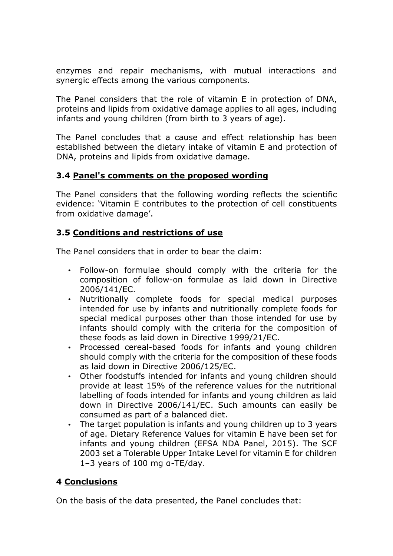enzymes and repair mechanisms, with mutual interactions and synergic effects among the various components.

The Panel considers that the role of vitamin E in protection of DNA, proteins and lipids from oxidative damage applies to all ages, including infants and young children (from birth to 3 years of age).

The Panel concludes that a cause and effect relationship has been established between the dietary intake of vitamin E and protection of DNA, proteins and lipids from oxidative damage.

### **3.4 Panel's comments on the proposed wording**

The Panel considers that the following wording reflects the scientific evidence: 'Vitamin E contributes to the protection of cell constituents from oxidative damage'.

### **3.5 Conditions and restrictions of use**

The Panel considers that in order to bear the claim:

- Follow-on formulae should comply with the criteria for the composition of follow-on formulae as laid down in Directive 2006/141/EC.
- Nutritionally complete foods for special medical purposes intended for use by infants and nutritionally complete foods for special medical purposes other than those intended for use by infants should comply with the criteria for the composition of these foods as laid down in Directive 1999/21/EC.
- Processed cereal-based foods for infants and young children should comply with the criteria for the composition of these foods as laid down in Directive 2006/125/EC.
- Other foodstuffs intended for infants and young children should provide at least 15% of the reference values for the nutritional labelling of foods intended for infants and young children as laid down in Directive 2006/141/EC. Such amounts can easily be consumed as part of a balanced diet.
- The target population is infants and young children up to 3 years of age. Dietary Reference Values for vitamin E have been set for infants and young children (EFSA NDA Panel, 2015). The SCF 2003 set a Tolerable Upper Intake Level for vitamin E for children 1–3 years of 100 mg α-TE/day.

### **4 Conclusions**

On the basis of the data presented, the Panel concludes that: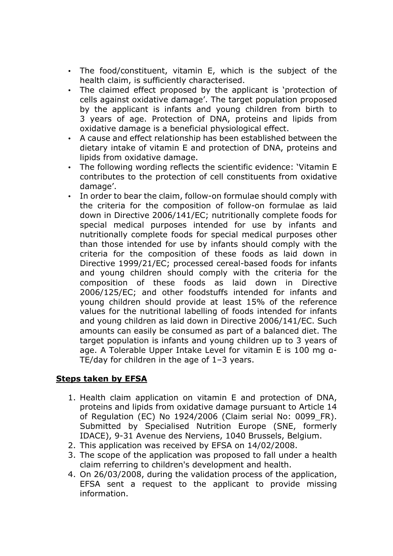- The food/constituent, vitamin E, which is the subject of the health claim, is sufficiently characterised.
- The claimed effect proposed by the applicant is 'protection of cells against oxidative damage'. The target population proposed by the applicant is infants and young children from birth to 3 years of age. Protection of DNA, proteins and lipids from oxidative damage is a beneficial physiological effect.
- A cause and effect relationship has been established between the dietary intake of vitamin E and protection of DNA, proteins and lipids from oxidative damage.
- The following wording reflects the scientific evidence: 'Vitamin E contributes to the protection of cell constituents from oxidative damage'.
- In order to bear the claim, follow-on formulae should comply with the criteria for the composition of follow-on formulae as laid down in Directive 2006/141/EC; nutritionally complete foods for special medical purposes intended for use by infants and nutritionally complete foods for special medical purposes other than those intended for use by infants should comply with the criteria for the composition of these foods as laid down in Directive 1999/21/EC; processed cereal-based foods for infants and young children should comply with the criteria for the composition of these foods as laid down in Directive 2006/125/EC; and other foodstuffs intended for infants and young children should provide at least 15% of the reference values for the nutritional labelling of foods intended for infants and young children as laid down in Directive 2006/141/EC. Such amounts can easily be consumed as part of a balanced diet. The target population is infants and young children up to 3 years of age. A Tolerable Upper Intake Level for vitamin E is 100 mg α-TE/day for children in the age of 1–3 years.

# **Steps taken by EFSA**

- 1. Health claim application on vitamin E and protection of DNA, proteins and lipids from oxidative damage pursuant to Article 14 of Regulation (EC) No 1924/2006 (Claim serial No: 0099\_FR). Submitted by Specialised Nutrition Europe (SNE, formerly IDACE), 9-31 Avenue des Nerviens, 1040 Brussels, Belgium.
- 2. This application was received by EFSA on 14/02/2008.
- 3. The scope of the application was proposed to fall under a health claim referring to children's development and health.
- 4. On 26/03/2008, during the validation process of the application, EFSA sent a request to the applicant to provide missing information.